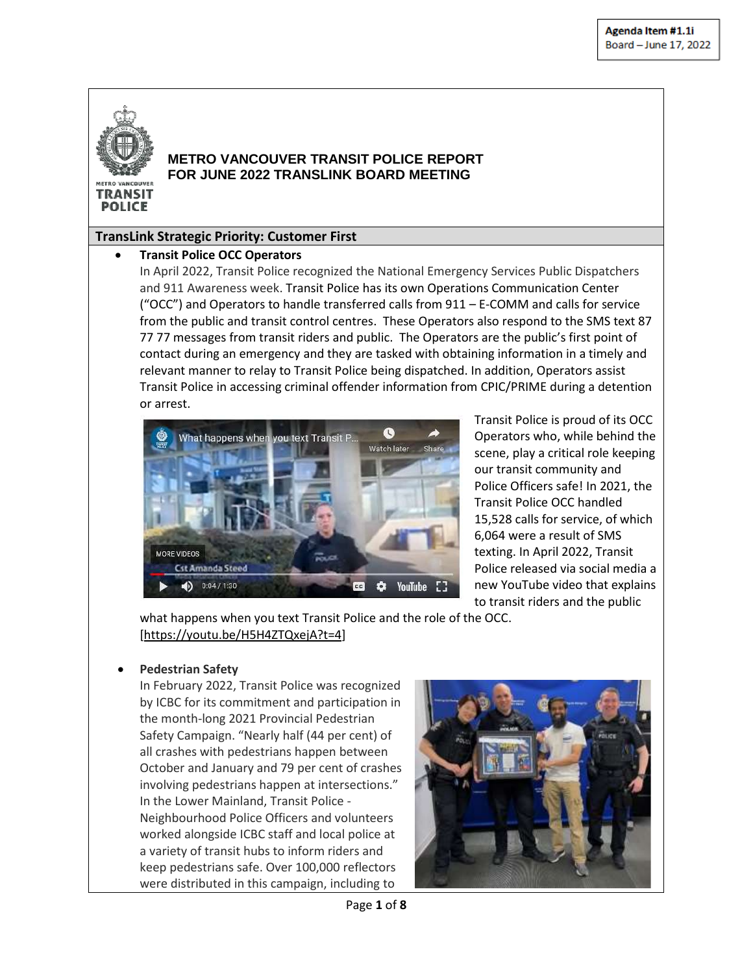

**POLICE** 

## **METRO VANCOUVER TRANSIT POLICE REPORT FOR JUNE 2022 TRANSLINK BOARD MEETING**

### **TransLink Strategic Priority: Customer First**

#### **•** Transit Police OCC Operators

In April 2022, Transit Police recognized the National Emergency Services Public Dispatchers and 911 Awareness week. Transit Police has its own Operations Communication Center ("OCC") and Operators to handle transferred calls from 911 – E-COMM and calls for service from the public and transit control centres. These Operators also respond to the SMS text 87 77 77 messages from transit riders and public. The Operators are the public's first point of contact during an emergency and they are tasked with obtaining information in a timely and relevant manner to relay to Transit Police being dispatched. In addition, Operators assist Transit Police in accessing criminal offender information from CPIC/PRIME during a detention or arrest.



Transit Police is proud of its OCC Operators who, while behind the scene, play a critical role keeping our transit community and Police Officers safe! In 2021, the Transit Police OCC handled 15,528 calls for service, of which 6,064 were a result of SMS texting. In April 2022, Transit Police released via social media a new YouTube video that explains to transit riders and the public

what happens when you text Transit Police and the role of the OCC. [\[https://youtu.be/H5H4ZTQxejA?t=4\]](https://youtu.be/H5H4ZTQxejA?t=4)

#### **Pedestrian Safety**

In February 2022, Transit Police was recognized by ICBC for its commitment and participation in the month-long 2021 Provincial Pedestrian Safety Campaign. "Nearly half (44 per cent) of all crashes with pedestrians happen between October and January and 79 per cent of crashes involving pedestrians happen at intersections." In the Lower Mainland, Transit Police - Neighbourhood Police Officers and volunteers worked alongside ICBC staff and local police at a variety of transit hubs to inform riders and keep pedestrians safe. Over 100,000 reflectors were distributed in this campaign, including to

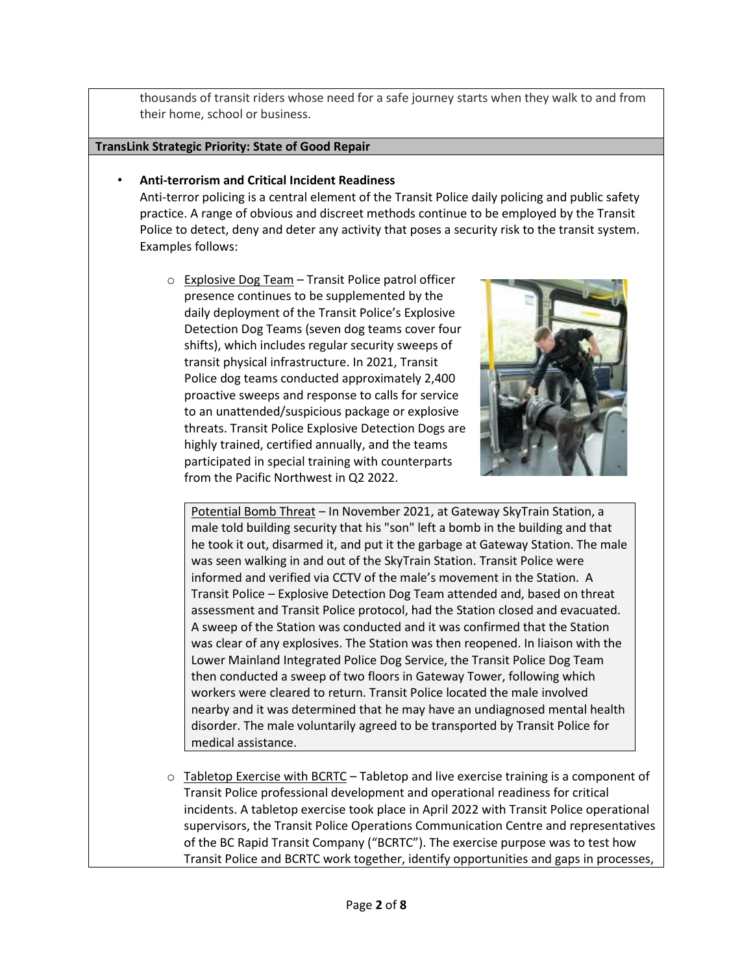thousands of transit riders whose need for a safe journey starts when they walk to and from their home, school or business.

#### **TransLink Strategic Priority: State of Good Repair**

### • **Anti-terrorism and Critical Incident Readiness**

Anti-terror policing is a central element of the Transit Police daily policing and public safety practice. A range of obvious and discreet methods continue to be employed by the Transit Police to detect, deny and deter any activity that poses a security risk to the transit system. Examples follows:

o Explosive Dog Team – Transit Police patrol officer presence continues to be supplemented by the daily deployment of the Transit Police's Explosive Detection Dog Teams (seven dog teams cover four shifts), which includes regular security sweeps of transit physical infrastructure. In 2021, Transit Police dog teams conducted approximately 2,400 proactive sweeps and response to calls for service to an unattended/suspicious package or explosive threats. Transit Police Explosive Detection Dogs are highly trained, certified annually, and the teams participated in special training with counterparts from the Pacific Northwest in Q2 2022.



Potential Bomb Threat – In November 2021, at Gateway SkyTrain Station, a male told building security that his "son" left a bomb in the building and that he took it out, disarmed it, and put it the garbage at Gateway Station. The male was seen walking in and out of the SkyTrain Station. Transit Police were informed and verified via CCTV of the male's movement in the Station. A Transit Police – Explosive Detection Dog Team attended and, based on threat assessment and Transit Police protocol, had the Station closed and evacuated. A sweep of the Station was conducted and it was confirmed that the Station was clear of any explosives. The Station was then reopened. In liaison with the Lower Mainland Integrated Police Dog Service, the Transit Police Dog Team then conducted a sweep of two floors in Gateway Tower, following which workers were cleared to return. Transit Police located the male involved nearby and it was determined that he may have an undiagnosed mental health disorder. The male voluntarily agreed to be transported by Transit Police for medical assistance.

 $\circ$  Tabletop Exercise with BCRTC – Tabletop and live exercise training is a component of Transit Police professional development and operational readiness for critical incidents. A tabletop exercise took place in April 2022 with Transit Police operational supervisors, the Transit Police Operations Communication Centre and representatives of the BC Rapid Transit Company ("BCRTC"). The exercise purpose was to test how Transit Police and BCRTC work together, identify opportunities and gaps in processes,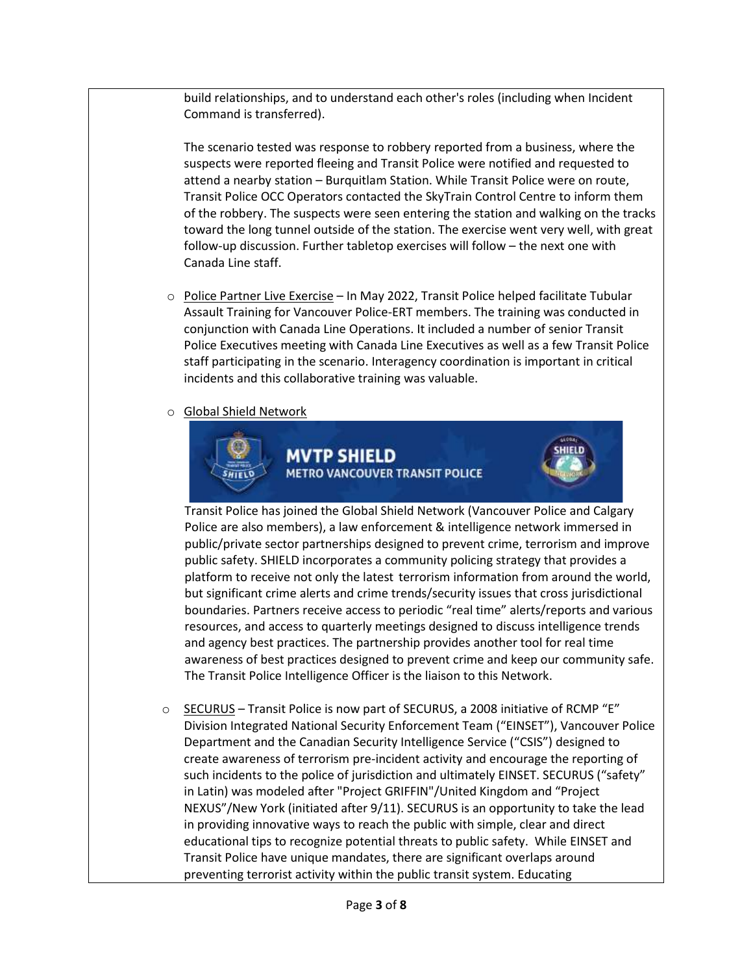build relationships, and to understand each other's roles (including when Incident Command is transferred).

The scenario tested was response to robbery reported from a business, where the suspects were reported fleeing and Transit Police were notified and requested to attend a nearby station – Burquitlam Station. While Transit Police were on route, Transit Police OCC Operators contacted the SkyTrain Control Centre to inform them of the robbery. The suspects were seen entering the station and walking on the tracks toward the long tunnel outside of the station. The exercise went very well, with great follow-up discussion. Further tabletop exercises will follow – the next one with Canada Line staff.

- o Police Partner Live Exercise In May 2022, Transit Police helped facilitate Tubular Assault Training for Vancouver Police-ERT members. The training was conducted in conjunction with Canada Line Operations. It included a number of senior Transit Police Executives meeting with Canada Line Executives as well as a few Transit Police staff participating in the scenario. Interagency coordination is important in critical incidents and this collaborative training was valuable.
- o Global Shield Network



**MVTP SHIELD METRO VANCOUVER TRANSIT POLICE** 



Transit Police has joined the Global Shield Network (Vancouver Police and Calgary Police are also members), a law enforcement & intelligence network immersed in public/private sector partnerships designed to prevent crime, terrorism and improve public safety. SHIELD incorporates a community policing strategy that provides a platform to receive not only the latest terrorism information from around the world, but significant crime alerts and crime trends/security issues that cross jurisdictional boundaries. Partners receive access to periodic "real time" alerts/reports and various resources, and access to quarterly meetings designed to discuss intelligence trends and agency best practices. The partnership provides another tool for real time awareness of best practices designed to prevent crime and keep our community safe. The Transit Police Intelligence Officer is the liaison to this Network.

o SECURUS – Transit Police is now part of SECURUS, a 2008 initiative of RCMP "E" Division Integrated National Security Enforcement Team ("EINSET"), Vancouver Police Department and the Canadian Security Intelligence Service ("CSIS") designed to create awareness of terrorism pre-incident activity and encourage the reporting of such incidents to the police of jurisdiction and ultimately EINSET. SECURUS ("safety" in Latin) was modeled after "Project GRIFFIN"/United Kingdom and "Project NEXUS"/New York (initiated after 9/11). SECURUS is an opportunity to take the lead in providing innovative ways to reach the public with simple, clear and direct educational tips to recognize potential threats to public safety. While EINSET and Transit Police have unique mandates, there are significant overlaps around preventing terrorist activity within the public transit system. Educating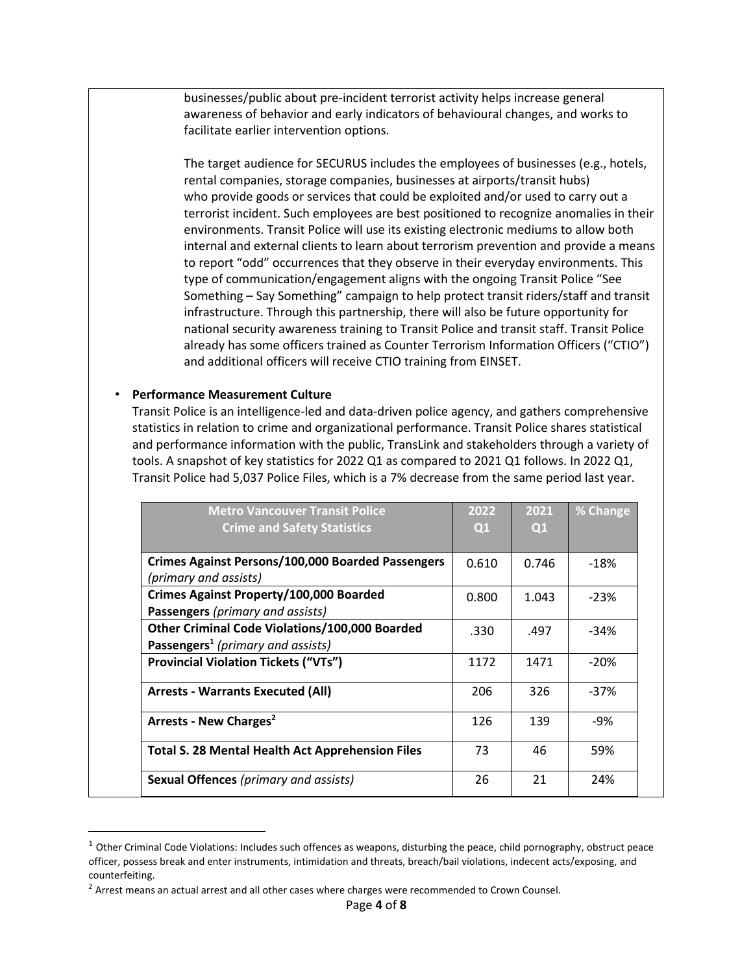businesses/public about pre-incident terrorist activity helps increase general awareness of behavior and early indicators of behavioural changes, and works to facilitate earlier intervention options.

The target audience for SECURUS includes the employees of businesses (e.g., hotels, rental companies, storage companies, businesses at airports/transit hubs) who provide goods or services that could be exploited and/or used to carry out a terrorist incident. Such employees are best positioned to recognize anomalies in their environments. Transit Police will use its existing electronic mediums to allow both internal and external clients to learn about terrorism prevention and provide a means to report "odd" occurrences that they observe in their everyday environments. This type of communication/engagement aligns with the ongoing Transit Police "See Something – Say Something" campaign to help protect transit riders/staff and transit infrastructure. Through this partnership, there will also be future opportunity for national security awareness training to Transit Police and transit staff. Transit Police already has some officers trained as Counter Terrorism Information Officers ("CTIO") and additional officers will receive CTIO training from EINSET.

#### • **Performance Measurement Culture**

 $\overline{\phantom{a}}$ 

Transit Police is an intelligence-led and data-driven police agency, and gathers comprehensive statistics in relation to crime and organizational performance. Transit Police shares statistical and performance information with the public, TransLink and stakeholders through a variety of tools. A snapshot of key statistics for 2022 Q1 as compared to 2021 Q1 follows. In 2022 Q1, Transit Police had 5,037 Police Files, which is a 7% decrease from the same period last year.

| <b>Metro Vancouver Transit Police</b>                    | 2022  | 2021  | % Change |
|----------------------------------------------------------|-------|-------|----------|
| <b>Crime and Safety Statistics</b>                       | Q1    | Q1    |          |
|                                                          |       |       |          |
| <b>Crimes Against Persons/100,000 Boarded Passengers</b> | 0.610 | 0.746 | $-18%$   |
| (primary and assists)                                    |       |       |          |
| Crimes Against Property/100,000 Boarded                  | 0.800 | 1.043 | $-23%$   |
| Passengers (primary and assists)                         |       |       |          |
| <b>Other Criminal Code Violations/100,000 Boarded</b>    | .330  | .497  | $-34%$   |
| Passengers <sup>1</sup> (primary and assists)            |       |       |          |
| <b>Provincial Violation Tickets ("VTs")</b>              | 1172  | 1471  | $-20%$   |
| <b>Arrests - Warrants Executed (All)</b>                 | 206   | 326   | $-37%$   |
| Arrests - New Charges <sup>2</sup>                       | 126   | 139   | $-9%$    |
| <b>Total S. 28 Mental Health Act Apprehension Files</b>  | 73    | 46    | 59%      |
| <b>Sexual Offences</b> (primary and assists)             | 26    | 21    | 24%      |

 $1$  Other Criminal Code Violations: Includes such offences as weapons, disturbing the peace, child pornography, obstruct peace officer, possess break and enter instruments, intimidation and threats, breach/bail violations, indecent acts/exposing, and counterfeiting.

 $<sup>2</sup>$  Arrest means an actual arrest and all other cases where charges were recommended to Crown Counsel.</sup>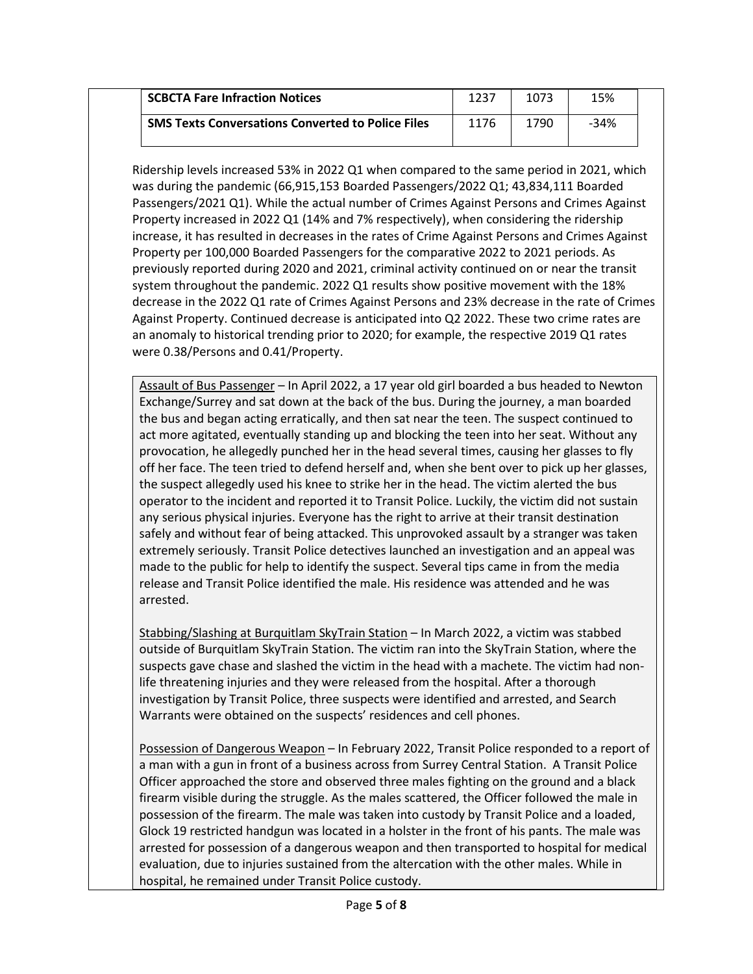| <b>SCBCTA Fare Infraction Notices</b>                    | 1237 | 1073 | 15%  |
|----------------------------------------------------------|------|------|------|
| <b>SMS Texts Conversations Converted to Police Files</b> | 1176 | 1790 | -34% |

Ridership levels increased 53% in 2022 Q1 when compared to the same period in 2021, which was during the pandemic (66,915,153 Boarded Passengers/2022 Q1; 43,834,111 Boarded Passengers/2021 Q1). While the actual number of Crimes Against Persons and Crimes Against Property increased in 2022 Q1 (14% and 7% respectively), when considering the ridership increase, it has resulted in decreases in the rates of Crime Against Persons and Crimes Against Property per 100,000 Boarded Passengers for the comparative 2022 to 2021 periods. As previously reported during 2020 and 2021, criminal activity continued on or near the transit system throughout the pandemic. 2022 Q1 results show positive movement with the 18% decrease in the 2022 Q1 rate of Crimes Against Persons and 23% decrease in the rate of Crimes Against Property. Continued decrease is anticipated into Q2 2022. These two crime rates are an anomaly to historical trending prior to 2020; for example, the respective 2019 Q1 rates were 0.38/Persons and 0.41/Property.

Assault of Bus Passenger – In April 2022, a 17 year old girl boarded a bus headed to Newton Exchange/Surrey and sat down at the back of the bus. During the journey, a man boarded the bus and began acting erratically, and then sat near the teen. The suspect continued to act more agitated, eventually standing up and blocking the teen into her seat. Without any provocation, he allegedly punched her in the head several times, causing her glasses to fly off her face. The teen tried to defend herself and, when she bent over to pick up her glasses, the suspect allegedly used his knee to strike her in the head. The victim alerted the bus operator to the incident and reported it to Transit Police. Luckily, the victim did not sustain any serious physical injuries. Everyone has the right to arrive at their transit destination safely and without fear of being attacked. This unprovoked assault by a stranger was taken extremely seriously. Transit Police detectives launched an investigation and an appeal was made to the public for help to identify the suspect. Several tips came in from the media release and Transit Police identified the male. His residence was attended and he was arrested.

Stabbing/Slashing at Burquitlam SkyTrain Station – In March 2022, a victim was stabbed outside of Burquitlam SkyTrain Station. The victim ran into the SkyTrain Station, where the suspects gave chase and slashed the victim in the head with a machete. The victim had nonlife threatening injuries and they were released from the hospital. After a thorough investigation by Transit Police, three suspects were identified and arrested, and Search Warrants were obtained on the suspects' residences and cell phones.

Possession of Dangerous Weapon – In February 2022, Transit Police responded to a report of a man with a gun in front of a business across from Surrey Central Station. A Transit Police Officer approached the store and observed three males fighting on the ground and a black firearm visible during the struggle. As the males scattered, the Officer followed the male in possession of the firearm. The male was taken into custody by Transit Police and a loaded, Glock 19 restricted handgun was located in a holster in the front of his pants. The male was arrested for possession of a dangerous weapon and then transported to hospital for medical evaluation, due to injuries sustained from the altercation with the other males. While in hospital, he remained under Transit Police custody.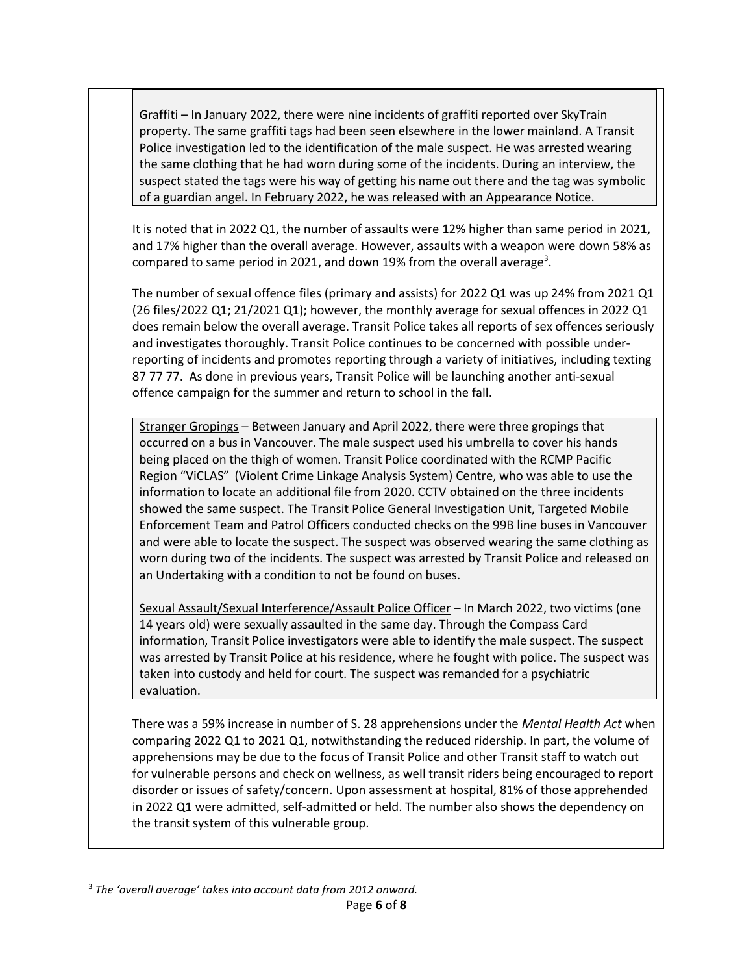Graffiti – In January 2022, there were nine incidents of graffiti reported over SkyTrain property. The same graffiti tags had been seen elsewhere in the lower mainland. A Transit Police investigation led to the identification of the male suspect. He was arrested wearing the same clothing that he had worn during some of the incidents. During an interview, the suspect stated the tags were his way of getting his name out there and the tag was symbolic of a guardian angel. In February 2022, he was released with an Appearance Notice.

It is noted that in 2022 Q1, the number of assaults were 12% higher than same period in 2021, and 17% higher than the overall average. However, assaults with a weapon were down 58% as compared to same period in 2021, and down 19% from the overall average<sup>3</sup>.

The number of sexual offence files (primary and assists) for 2022 Q1 was up 24% from 2021 Q1 (26 files/2022 Q1; 21/2021 Q1); however, the monthly average for sexual offences in 2022 Q1 does remain below the overall average. Transit Police takes all reports of sex offences seriously and investigates thoroughly. Transit Police continues to be concerned with possible underreporting of incidents and promotes reporting through a variety of initiatives, including texting 87 77 77. As done in previous years, Transit Police will be launching another anti-sexual offence campaign for the summer and return to school in the fall.

Stranger Gropings – Between January and April 2022, there were three gropings that occurred on a bus in Vancouver. The male suspect used his umbrella to cover his hands being placed on the thigh of women. Transit Police coordinated with the RCMP Pacific Region "ViCLAS" (Violent Crime Linkage Analysis System) Centre, who was able to use the information to locate an additional file from 2020. CCTV obtained on the three incidents showed the same suspect. The Transit Police General Investigation Unit, Targeted Mobile Enforcement Team and Patrol Officers conducted checks on the 99B line buses in Vancouver and were able to locate the suspect. The suspect was observed wearing the same clothing as worn during two of the incidents. The suspect was arrested by Transit Police and released on an Undertaking with a condition to not be found on buses.

Sexual Assault/Sexual Interference/Assault Police Officer – In March 2022, two victims (one 14 years old) were sexually assaulted in the same day. Through the Compass Card information, Transit Police investigators were able to identify the male suspect. The suspect was arrested by Transit Police at his residence, where he fought with police. The suspect was taken into custody and held for court. The suspect was remanded for a psychiatric evaluation.

There was a 59% increase in number of S. 28 apprehensions under the *Mental Health Act* when comparing 2022 Q1 to 2021 Q1, notwithstanding the reduced ridership. In part, the volume of apprehensions may be due to the focus of Transit Police and other Transit staff to watch out for vulnerable persons and check on wellness, as well transit riders being encouraged to report disorder or issues of safety/concern. Upon assessment at hospital, 81% of those apprehended in 2022 Q1 were admitted, self-admitted or held. The number also shows the dependency on the transit system of this vulnerable group.

l

<sup>3</sup> *The 'overall average' takes into account data from 2012 onward.*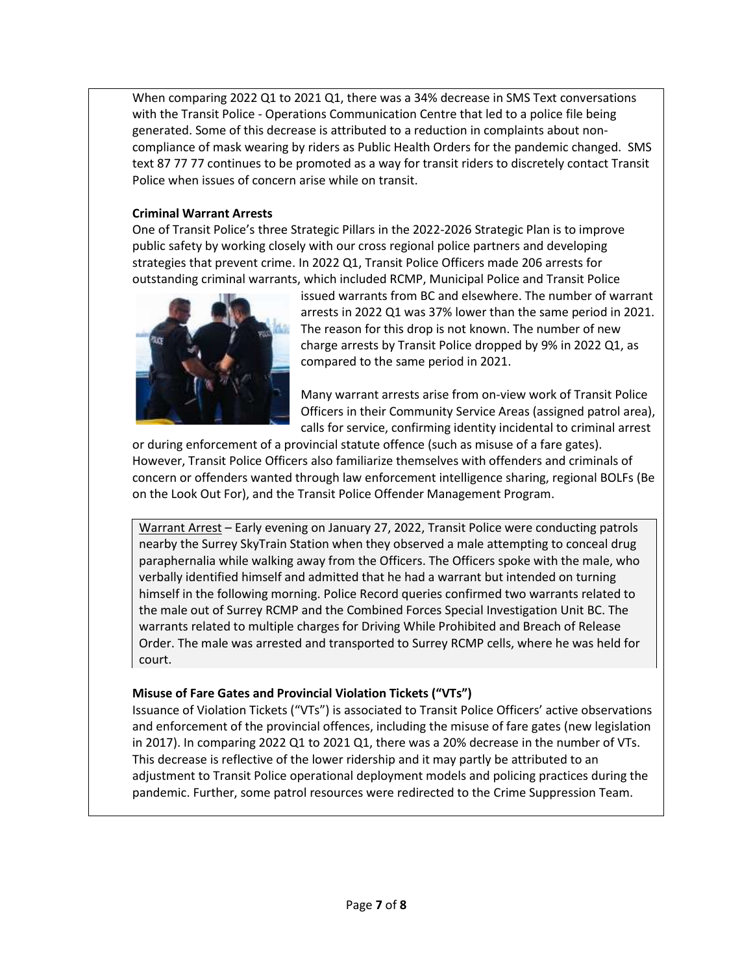When comparing 2022 Q1 to 2021 Q1, there was a 34% decrease in SMS Text conversations with the Transit Police - Operations Communication Centre that led to a police file being generated. Some of this decrease is attributed to a reduction in complaints about noncompliance of mask wearing by riders as Public Health Orders for the pandemic changed. SMS text 87 77 77 continues to be promoted as a way for transit riders to discretely contact Transit Police when issues of concern arise while on transit.

## **Criminal Warrant Arrests**

One of Transit Police's three Strategic Pillars in the 2022-2026 Strategic Plan is to improve public safety by working closely with our cross regional police partners and developing strategies that prevent crime. In 2022 Q1, Transit Police Officers made 206 arrests for outstanding criminal warrants, which included RCMP, Municipal Police and Transit Police



issued warrants from BC and elsewhere. The number of warrant arrests in 2022 Q1 was 37% lower than the same period in 2021. The reason for this drop is not known. The number of new charge arrests by Transit Police dropped by 9% in 2022 Q1, as compared to the same period in 2021.

Many warrant arrests arise from on-view work of Transit Police Officers in their Community Service Areas (assigned patrol area), calls for service, confirming identity incidental to criminal arrest

or during enforcement of a provincial statute offence (such as misuse of a fare gates). However, Transit Police Officers also familiarize themselves with offenders and criminals of concern or offenders wanted through law enforcement intelligence sharing, regional BOLFs (Be on the Look Out For), and the Transit Police Offender Management Program.

Warrant Arrest – Early evening on January 27, 2022, Transit Police were conducting patrols nearby the Surrey SkyTrain Station when they observed a male attempting to conceal drug paraphernalia while walking away from the Officers. The Officers spoke with the male, who verbally identified himself and admitted that he had a warrant but intended on turning himself in the following morning. Police Record queries confirmed two warrants related to the male out of Surrey RCMP and the Combined Forces Special Investigation Unit BC. The warrants related to multiple charges for Driving While Prohibited and Breach of Release Order. The male was arrested and transported to Surrey RCMP cells, where he was held for court.

# **Misuse of Fare Gates and Provincial Violation Tickets ("VTs")**

Issuance of Violation Tickets ("VTs") is associated to Transit Police Officers' active observations and enforcement of the provincial offences, including the misuse of fare gates (new legislation in 2017). In comparing 2022 Q1 to 2021 Q1, there was a 20% decrease in the number of VTs. This decrease is reflective of the lower ridership and it may partly be attributed to an adjustment to Transit Police operational deployment models and policing practices during the pandemic. Further, some patrol resources were redirected to the Crime Suppression Team.